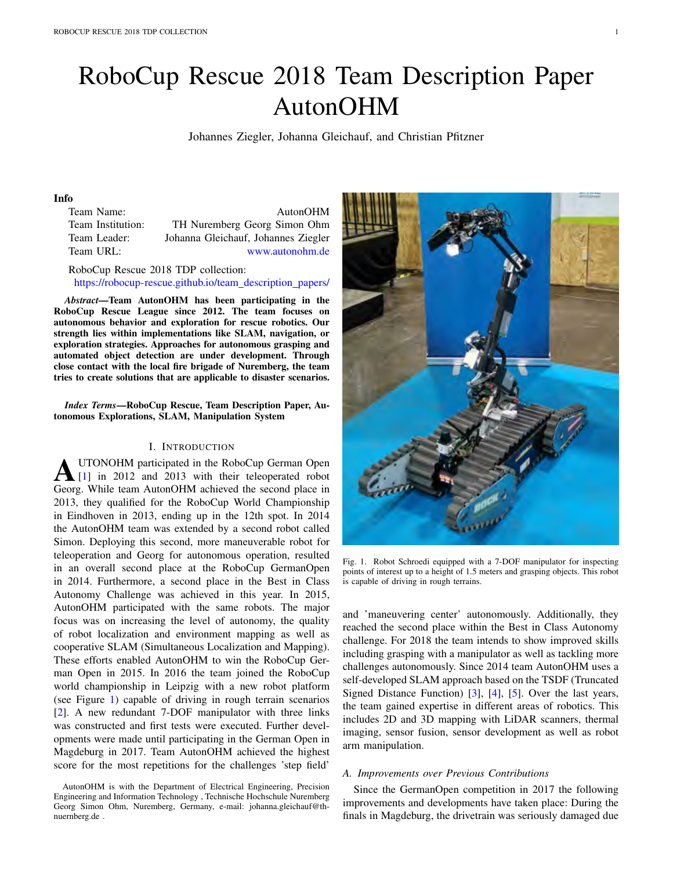# RoboCup Rescue 2018 Team Description Paper AutonOHM

Johannes Ziegler, Johanna Gleichauf, and Christian Pfitzner

# Info

| Team Name:        | AutonOHM                            |
|-------------------|-------------------------------------|
| Team Institution: | TH Nuremberg Georg Simon Ohm        |
| Team Leader:      | Johanna Gleichauf, Johannes Ziegler |
| Team URL:         | www.autonohm.de                     |

RoboCup Rescue 2018 TDP collection: https://robocup-rescue.github.io/team\_description\_papers/

*Abstract*—Team AutonOHM has been participating in the RoboCup Rescue League since 2012. The team focuses on autonomous behavior and exploration for rescue robotics. Our strength lies within implementations like SLAM, navigation, or exploration strategies. Approaches for autonomous grasping and automated object detection are under development. Through close contact with the local fire brigade of Nuremberg, the team tries to create solutions that are applicable to disaster scenarios.

*Index Terms*—RoboCup Rescue, Team Description Paper, Autonomous Explorations, SLAM, Manipulation System

#### I. INTRODUCTION

**AUTONOHM** participated in the RoboCup German Open<br>
[1] in 2012 and 2013 with their teleoperated robot<br>
Georg While term AutonOHM sebieved the second place in Georg. While team AutonOHM achieved the second place in 2013, they qualified for the RoboCup World Championship in Eindhoven in 2013, ending up in the 12th spot. In 2014 the AutonOHM team was extended by a second robot called Simon. Deploying this second, more maneuverable robot for teleoperation and Georg for autonomous operation, resulted in an overall second place at the RoboCup GermanOpen in 2014. Furthermore, a second place in the Best in Class Autonomy Challenge was achieved in this year. In 2015, AutonOHM participated with the same robots. The major focus was on increasing the level of autonomy, the quality of robot localization and environment mapping as well as cooperative SLAM (Simultaneous Localization and Mapping). These efforts enabled AutonOHM to win the RoboCup German Open in 2015. In 2016 the team joined the RoboCup world championship in Leipzig with a new robot platform (see Figure 1) capable of driving in rough terrain scenarios [2]. A new redundant 7-DOF manipulator with three links was constructed and first tests were executed. Further developments were made until participating in the German Open in Magdeburg in 2017. Team AutonOHM achieved the highest score for the most repetitions for the challenges 'step field'

AutonOHM is with the Department of Electrical Engineering, Precision Engineering and Information Technology , Technische Hochschule Nuremberg Georg Simon Ohm, Nuremberg, Germany, e-mail: johanna.gleichauf@thnuernberg.de .



Fig. 1. Robot Schroedi equipped with a 7-DOF manipulator for inspecting points of interest up to a height of 1.5 meters and grasping objects. This robot is capable of driving in rough terrains.

and 'maneuvering center' autonomously. Additionally, they reached the second place within the Best in Class Autonomy challenge. For 2018 the team intends to show improved skills including grasping with a manipulator as well as tackling more challenges autonomously. Since 2014 team AutonOHM uses a self-developed SLAM approach based on the TSDF (Truncated Signed Distance Function) [3], [4], [5]. Over the last years, the team gained expertise in different areas of robotics. This includes 2D and 3D mapping with LiDAR scanners, thermal imaging, sensor fusion, sensor development as well as robot arm manipulation.

# *A. Improvements over Previous Contributions*

Since the GermanOpen competition in 2017 the following improvements and developments have taken place: During the finals in Magdeburg, the drivetrain was seriously damaged due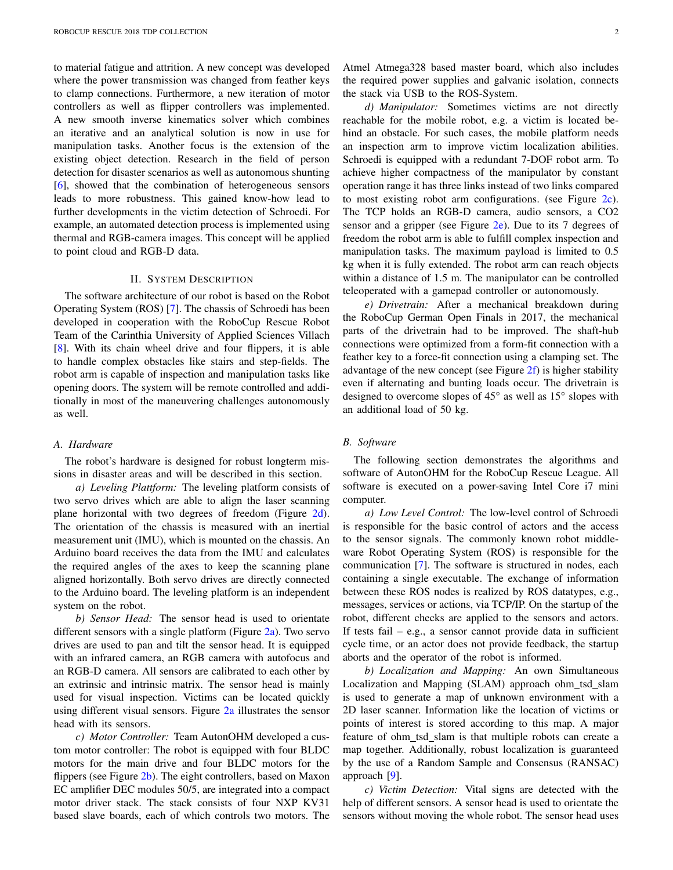to material fatigue and attrition. A new concept was developed where the power transmission was changed from feather keys to clamp connections. Furthermore, a new iteration of motor controllers as well as flipper controllers was implemented. A new smooth inverse kinematics solver which combines an iterative and an analytical solution is now in use for manipulation tasks. Another focus is the extension of the existing object detection. Research in the field of person detection for disaster scenarios as well as autonomous shunting [6], showed that the combination of heterogeneous sensors leads to more robustness. This gained know-how lead to further developments in the victim detection of Schroedi. For example, an automated detection process is implemented using thermal and RGB-camera images. This concept will be applied to point cloud and RGB-D data.

## II. SYSTEM DESCRIPTION

The software architecture of our robot is based on the Robot Operating System (ROS) [7]. The chassis of Schroedi has been developed in cooperation with the RoboCup Rescue Robot Team of the Carinthia University of Applied Sciences Villach [8]. With its chain wheel drive and four flippers, it is able to handle complex obstacles like stairs and step-fields. The robot arm is capable of inspection and manipulation tasks like opening doors. The system will be remote controlled and additionally in most of the maneuvering challenges autonomously as well.

#### *A. Hardware*

The robot's hardware is designed for robust longterm missions in disaster areas and will be described in this section.

*a) Leveling Plattform:* The leveling platform consists of two servo drives which are able to align the laser scanning plane horizontal with two degrees of freedom (Figure 2d). The orientation of the chassis is measured with an inertial measurement unit (IMU), which is mounted on the chassis. An Arduino board receives the data from the IMU and calculates the required angles of the axes to keep the scanning plane aligned horizontally. Both servo drives are directly connected to the Arduino board. The leveling platform is an independent system on the robot.

*b) Sensor Head:* The sensor head is used to orientate different sensors with a single platform (Figure  $2a$ ). Two servo drives are used to pan and tilt the sensor head. It is equipped with an infrared camera, an RGB camera with autofocus and an RGB-D camera. All sensors are calibrated to each other by an extrinsic and intrinsic matrix. The sensor head is mainly used for visual inspection. Victims can be located quickly using different visual sensors. Figure  $2a$  illustrates the sensor head with its sensors.

*c) Motor Controller:* Team AutonOHM developed a custom motor controller: The robot is equipped with four BLDC motors for the main drive and four BLDC motors for the flippers (see Figure 2b). The eight controllers, based on Maxon EC amplifier DEC modules 50/5, are integrated into a compact motor driver stack. The stack consists of four NXP KV31 based slave boards, each of which controls two motors. The

Atmel Atmega328 based master board, which also includes the required power supplies and galvanic isolation, connects the stack via USB to the ROS-System.

*d) Manipulator:* Sometimes victims are not directly reachable for the mobile robot, e.g. a victim is located behind an obstacle. For such cases, the mobile platform needs an inspection arm to improve victim localization abilities. Schroedi is equipped with a redundant 7-DOF robot arm. To achieve higher compactness of the manipulator by constant operation range it has three links instead of two links compared to most existing robot arm configurations. (see Figure 2c). The TCP holds an RGB-D camera, audio sensors, a CO2 sensor and a gripper (see Figure 2e). Due to its 7 degrees of freedom the robot arm is able to fulfill complex inspection and manipulation tasks. The maximum payload is limited to 0.5 kg when it is fully extended. The robot arm can reach objects within a distance of 1.5 m. The manipulator can be controlled teleoperated with a gamepad controller or autonomously.

*e) Drivetrain:* After a mechanical breakdown during the RoboCup German Open Finals in 2017, the mechanical parts of the drivetrain had to be improved. The shaft-hub connections were optimized from a form-fit connection with a feather key to a force-fit connection using a clamping set. The advantage of the new concept (see Figure  $2f$ ) is higher stability even if alternating and bunting loads occur. The drivetrain is designed to overcome slopes of  $45^{\circ}$  as well as  $15^{\circ}$  slopes with an additional load of 50 kg.

#### *B. Software*

The following section demonstrates the algorithms and software of AutonOHM for the RoboCup Rescue League. All software is executed on a power-saving Intel Core i7 mini computer.

*a) Low Level Control:* The low-level control of Schroedi is responsible for the basic control of actors and the access to the sensor signals. The commonly known robot middleware Robot Operating System (ROS) is responsible for the communication [7]. The software is structured in nodes, each containing a single executable. The exchange of information between these ROS nodes is realized by ROS datatypes, e.g., messages, services or actions, via TCP/IP. On the startup of the robot, different checks are applied to the sensors and actors. If tests fail  $-$  e.g., a sensor cannot provide data in sufficient cycle time, or an actor does not provide feedback, the startup aborts and the operator of the robot is informed.

*b) Localization and Mapping:* An own Simultaneous Localization and Mapping (SLAM) approach ohm\_tsd\_slam is used to generate a map of unknown environment with a 2D laser scanner. Information like the location of victims or points of interest is stored according to this map. A major feature of ohm\_tsd\_slam is that multiple robots can create a map together. Additionally, robust localization is guaranteed by the use of a Random Sample and Consensus (RANSAC) approach [9].

*c) Victim Detection:* Vital signs are detected with the help of different sensors. A sensor head is used to orientate the sensors without moving the whole robot. The sensor head uses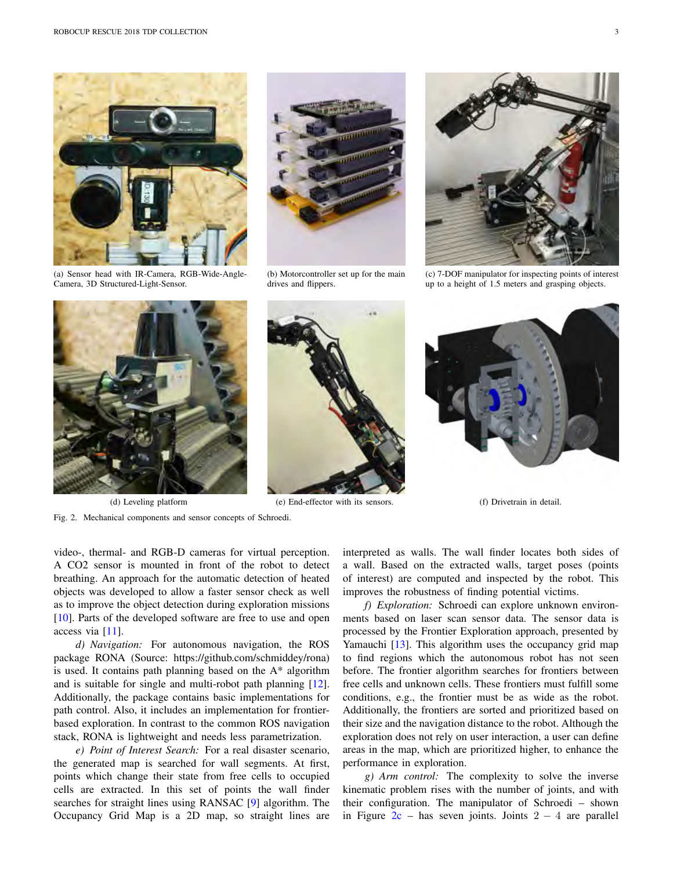

(a) Sensor head with IR-Camera, RGB-Wide-Angle-Camera, 3D Structured-Light-Sensor.



(b) Motorcontroller set up for the main drives and flippers.



(c) 7-DOF manipulator for inspecting points of interest up to a height of 1.5 meters and grasping objects.





(d) Leveling platform (e) End-effector with its sensors. (f) Drivetrain in detail.

Fig. 2. Mechanical components and sensor concepts of Schroedi.

video-, thermal- and RGB-D cameras for virtual perception. A CO2 sensor is mounted in front of the robot to detect breathing. An approach for the automatic detection of heated objects was developed to allow a faster sensor check as well as to improve the object detection during exploration missions [10]. Parts of the developed software are free to use and open access via [11].

*d) Navigation:* For autonomous navigation, the ROS package RONA (Source: https://github.com/schmiddey/rona) is used. It contains path planning based on the A\* algorithm and is suitable for single and multi-robot path planning [12]. Additionally, the package contains basic implementations for path control. Also, it includes an implementation for frontierbased exploration. In contrast to the common ROS navigation stack, RONA is lightweight and needs less parametrization.

*e) Point of Interest Search:* For a real disaster scenario, the generated map is searched for wall segments. At first, points which change their state from free cells to occupied cells are extracted. In this set of points the wall finder searches for straight lines using RANSAC [9] algorithm. The Occupancy Grid Map is a 2D map, so straight lines are

interpreted as walls. The wall finder locates both sides of a wall. Based on the extracted walls, target poses (points of interest) are computed and inspected by the robot. This improves the robustness of finding potential victims.

*f) Exploration:* Schroedi can explore unknown environments based on laser scan sensor data. The sensor data is processed by the Frontier Exploration approach, presented by Yamauchi [13]. This algorithm uses the occupancy grid map to find regions which the autonomous robot has not seen before. The frontier algorithm searches for frontiers between free cells and unknown cells. These frontiers must fulfill some conditions, e.g., the frontier must be as wide as the robot. Additionally, the frontiers are sorted and prioritized based on their size and the navigation distance to the robot. Although the exploration does not rely on user interaction, a user can define areas in the map, which are prioritized higher, to enhance the performance in exploration.

*g) Arm control:* The complexity to solve the inverse kinematic problem rises with the number of joints, and with their configuration. The manipulator of Schroedi – shown in Figure  $2c$  – has seven joints. Joints  $2 - 4$  are parallel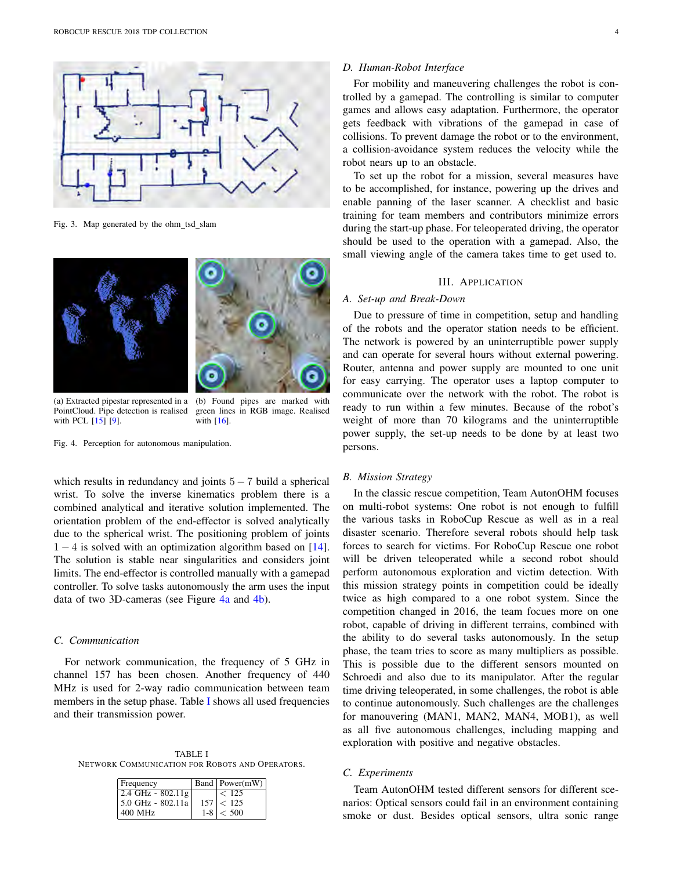

Fig. 3. Map generated by the ohm\_tsd\_slam



(a) Extracted pipestar represented in a PointCloud. Pipe detection is realised with PCL [15] [9].

(b) Found pipes are marked with green lines in RGB image. Realised with [16].

Fig. 4. Perception for autonomous manipulation.

which results in redundancy and joints  $5 - 7$  build a spherical wrist. To solve the inverse kinematics problem there is a combined analytical and iterative solution implemented. The orientation problem of the end-effector is solved analytically due to the spherical wrist. The positioning problem of joints  $1 - 4$  is solved with an optimization algorithm based on [14]. The solution is stable near singularities and considers joint limits. The end-effector is controlled manually with a gamepad controller. To solve tasks autonomously the arm uses the input data of two 3D-cameras (see Figure 4a and 4b).

## *C. Communication*

For network communication, the frequency of 5 GHz in channel 157 has been chosen. Another frequency of 440 MHz is used for 2-way radio communication between team members in the setup phase. Table I shows all used frequencies and their transmission power.

TABLE I NETWORK COMMUNICATION FOR ROBOTS AND OPERATORS.

| Frequency                              | Band Power(mW) |
|----------------------------------------|----------------|
| $ 2.4 \text{ GHz} - 802.11 \text{ g} $ | < 125          |
| 5.0 GHz - 802.11a                      | 157 < 125      |
| 400 MHz                                | $1-8 < 500$    |

## *D. Human-Robot Interface*

For mobility and maneuvering challenges the robot is controlled by a gamepad. The controlling is similar to computer games and allows easy adaptation. Furthermore, the operator gets feedback with vibrations of the gamepad in case of collisions. To prevent damage the robot or to the environment, a collision-avoidance system reduces the velocity while the robot nears up to an obstacle.

To set up the robot for a mission, several measures have to be accomplished, for instance, powering up the drives and enable panning of the laser scanner. A checklist and basic training for team members and contributors minimize errors during the start-up phase. For teleoperated driving, the operator should be used to the operation with a gamepad. Also, the small viewing angle of the camera takes time to get used to.

## III. APPLICATION

## *A. Set-up and Break-Down*

Due to pressure of time in competition, setup and handling of the robots and the operator station needs to be efficient. The network is powered by an uninterruptible power supply and can operate for several hours without external powering. Router, antenna and power supply are mounted to one unit for easy carrying. The operator uses a laptop computer to communicate over the network with the robot. The robot is ready to run within a few minutes. Because of the robot's weight of more than 70 kilograms and the uninterruptible power supply, the set-up needs to be done by at least two persons.

## *B. Mission Strategy*

In the classic rescue competition, Team AutonOHM focuses on multi-robot systems: One robot is not enough to fulfill the various tasks in RoboCup Rescue as well as in a real disaster scenario. Therefore several robots should help task forces to search for victims. For RoboCup Rescue one robot will be driven teleoperated while a second robot should perform autonomous exploration and victim detection. With this mission strategy points in competition could be ideally twice as high compared to a one robot system. Since the competition changed in 2016, the team focues more on one robot, capable of driving in different terrains, combined with the ability to do several tasks autonomously. In the setup phase, the team tries to score as many multipliers as possible. This is possible due to the different sensors mounted on Schroedi and also due to its manipulator. After the regular time driving teleoperated, in some challenges, the robot is able to continue autonomously. Such challenges are the challenges for manouvering (MAN1, MAN2, MAN4, MOB1), as well as all five autonomous challenges, including mapping and exploration with positive and negative obstacles.

## *C. Experiments*

Team AutonOHM tested different sensors for different scenarios: Optical sensors could fail in an environment containing smoke or dust. Besides optical sensors, ultra sonic range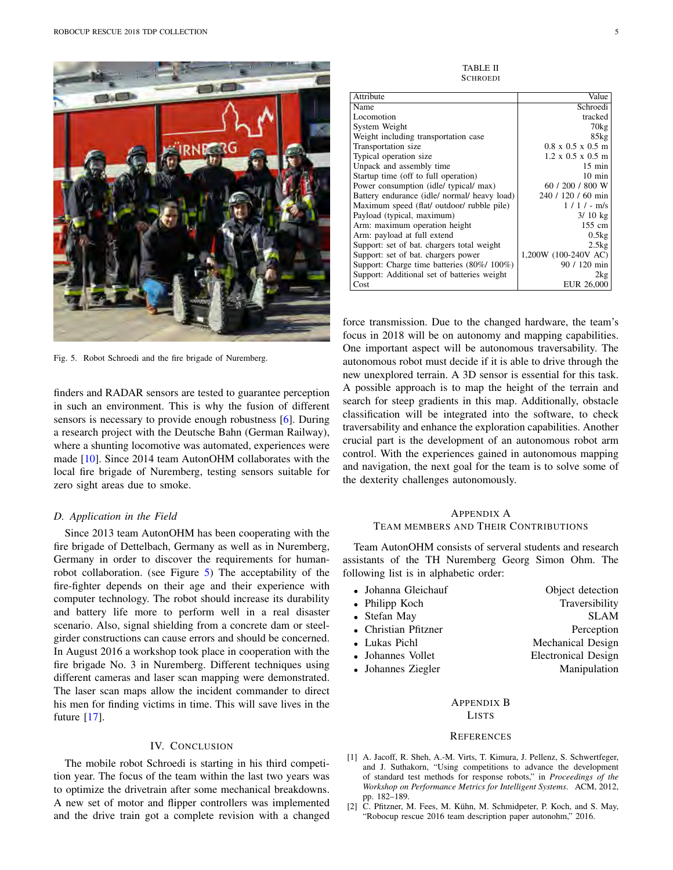

Fig. 5. Robot Schroedi and the fire brigade of Nuremberg.

finders and RADAR sensors are tested to guarantee perception in such an environment. This is why the fusion of different sensors is necessary to provide enough robustness [6]. During a research project with the Deutsche Bahn (German Railway), where a shunting locomotive was automated, experiences were made [10]. Since 2014 team AutonOHM collaborates with the local fire brigade of Nuremberg, testing sensors suitable for zero sight areas due to smoke.

#### *D. Application in the Field*

Since 2013 team AutonOHM has been cooperating with the fire brigade of Dettelbach, Germany as well as in Nuremberg, Germany in order to discover the requirements for humanrobot collaboration. (see Figure 5) The acceptability of the fire-fighter depends on their age and their experience with computer technology. The robot should increase its durability and battery life more to perform well in a real disaster scenario. Also, signal shielding from a concrete dam or steelgirder constructions can cause errors and should be concerned. In August 2016 a workshop took place in cooperation with the fire brigade No. 3 in Nuremberg. Different techniques using different cameras and laser scan mapping were demonstrated. The laser scan maps allow the incident commander to direct his men for finding victims in time. This will save lives in the future [17].

## IV. CONCLUSION

The mobile robot Schroedi is starting in his third competition year. The focus of the team within the last two years was to optimize the drivetrain after some mechanical breakdowns. A new set of motor and flipper controllers was implemented and the drive train got a complete revision with a changed

TABLE II **SCHROEDI** 

| Attribute                                    | Value                         |
|----------------------------------------------|-------------------------------|
| Name                                         | Schroedi                      |
| Locomotion                                   | tracked                       |
| System Weight                                | $70\text{kg}$                 |
| Weight including transportation case         | 85kg                          |
| Transportation size                          | $0.8 \times 0.5 \times 0.5$ m |
| Typical operation size                       | $1.2 \times 0.5 \times 0.5$ m |
| Unpack and assembly time                     | $15 \text{ min}$              |
| Startup time (off to full operation)         | $10 \text{ min}$              |
| Power consumption (idle/ typical/ max)       | 60 / 200 / 800 W              |
| Battery endurance (idle/ normal/ heavy load) | 240 / 120 / 60 min            |
| Maximum speed (flat/ outdoor/ rubble pile)   | $1/1/-$ m/s                   |
| Payload (typical, maximum)                   | $3/10$ kg                     |
| Arm: maximum operation height                | $155$ cm                      |
| Arm: payload at full extend                  | 0.5kg                         |
| Support: set of bat. chargers total weight   | 2.5kg                         |
| Support: set of bat. chargers power          | 1,200W (100-240V AC)          |
| Support: Charge time batteries (80%/100%)    | 90 / 120 min                  |
| Support: Additional set of batteries weight  | 2kg                           |
| Cost                                         | EUR 26,000                    |

force transmission. Due to the changed hardware, the team's focus in 2018 will be on autonomy and mapping capabilities. One important aspect will be autonomous traversability. The autonomous robot must decide if it is able to drive through the new unexplored terrain. A 3D sensor is essential for this task. A possible approach is to map the height of the terrain and search for steep gradients in this map. Additionally, obstacle classification will be integrated into the software, to check traversability and enhance the exploration capabilities. Another crucial part is the development of an autonomous robot arm control. With the experiences gained in autonomous mapping and navigation, the next goal for the team is to solve some of the dexterity challenges autonomously.

# APPENDIX A TEAM MEMBERS AND THEIR CONTRIBUTIONS

Team AutonOHM consists of serveral students and research assistants of the TH Nuremberg Georg Simon Ohm. The following list is in alphabetic order:

| • Johanna Gleichauf  | Object detection           |
|----------------------|----------------------------|
| • Philipp Koch       | Traversibility             |
| • Stefan May         | <b>SLAM</b>                |
| • Christian Pfitzner | Perception                 |
| • Lukas Pichl        | Mechanical Design          |
| • Johannes Vollet    | <b>Electronical Design</b> |
| • Johannes Ziegler   | Manipulation               |
|                      |                            |

# APPENDIX B LISTS

#### **REFERENCES**

- [1] A. Jacoff, R. Sheh, A.-M. Virts, T. Kimura, J. Pellenz, S. Schwertfeger, and J. Suthakorn, "Using competitions to advance the development of standard test methods for response robots," in *Proceedings of the Workshop on Performance Metrics for Intelligent Systems*. ACM, 2012, pp. 182–189.
- [2] C. Pfitzner, M. Fees, M. Kühn, M. Schmidpeter, P. Koch, and S. May, "Robocup rescue 2016 team description paper autonohm," 2016.